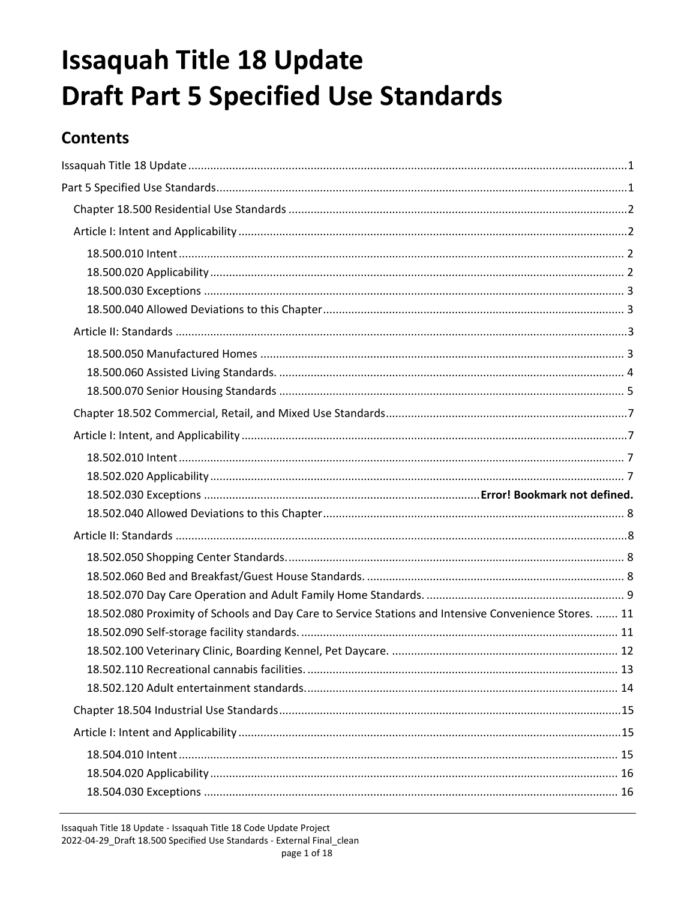# <span id="page-0-1"></span><span id="page-0-0"></span>**Issaquah Title 18 Update Draft Part 5 Specified Use Standards**

# **Contents**

| 18.502.080 Proximity of Schools and Day Care to Service Stations and Intensive Convenience Stores.  11 |  |
|--------------------------------------------------------------------------------------------------------|--|
|                                                                                                        |  |
|                                                                                                        |  |
|                                                                                                        |  |
|                                                                                                        |  |
|                                                                                                        |  |
|                                                                                                        |  |
|                                                                                                        |  |
|                                                                                                        |  |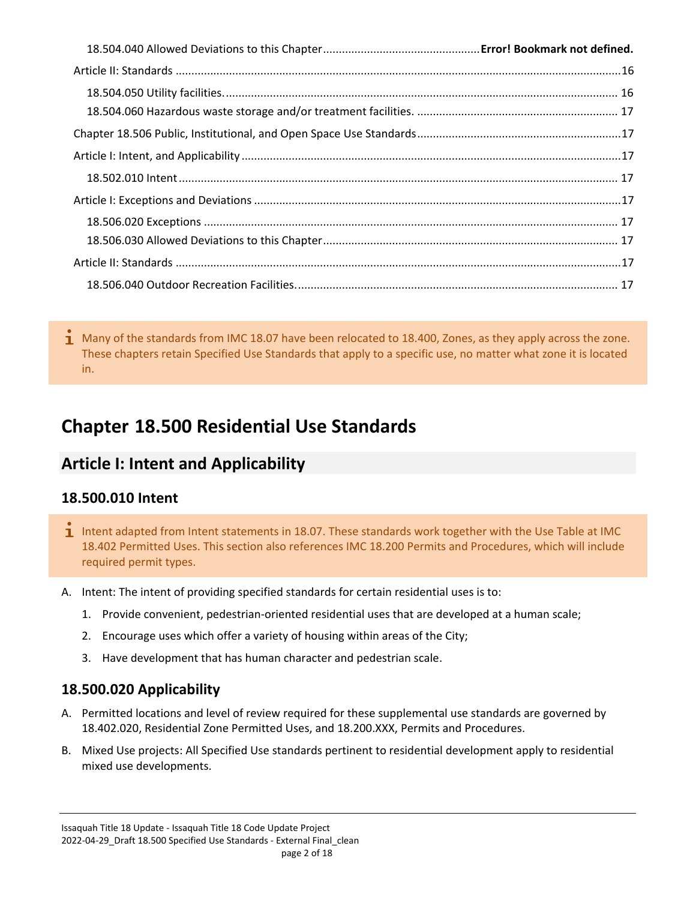$\overline{1}$  Many of the standards from IMC 18.07 have been relocated to 18.400, Zones, as they apply across the zone. These chapters retain Specified Use Standards that apply to a specific use, no matter what zone it is located in.

# <span id="page-1-0"></span>**Chapter 18.500 Residential Use Standards**

# <span id="page-1-1"></span>**Article I: Intent and Applicability**

#### <span id="page-1-2"></span>**18.500.010 Intent**

- $\mathbf 1$  Intent adapted from Intent statements in 18.07. These standards work together with the Use Table at IMC 18.402 Permitted Uses. This section also references IMC 18.200 Permits and Procedures, which will include required permit types.
- A. Intent: The intent of providing specified standards for certain residential uses is to:
	- 1. Provide convenient, pedestrian-oriented residential uses that are developed at a human scale;
	- 2. Encourage uses which offer a variety of housing within areas of the City;
	- 3. Have development that has human character and pedestrian scale.

#### <span id="page-1-3"></span>**18.500.020 Applicability**

- A. Permitted locations and level of review required for these supplemental use standards are governed by 18.402.020, Residential Zone Permitted Uses, and 18.200.XXX, Permits and Procedures.
- B. Mixed Use projects: All Specified Use standards pertinent to residential development apply to residential mixed use developments.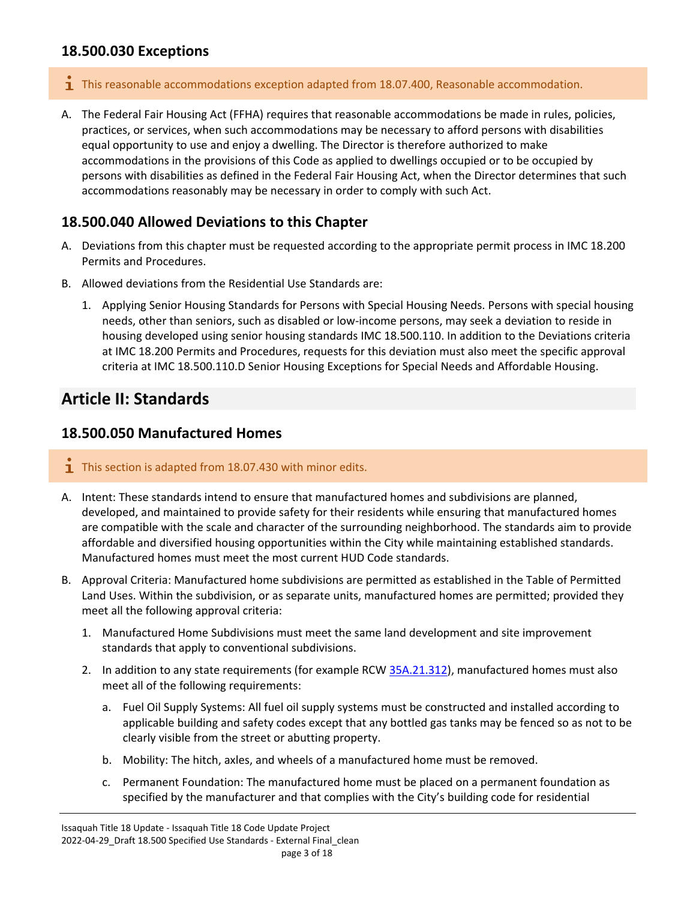#### <span id="page-2-0"></span>**18.500.030 Exceptions**

- **T** This reasonable accommodations exception adapted from 18.07.400, Reasonable accommodation.
- A. The Federal Fair Housing Act (FFHA) requires that reasonable accommodations be made in rules, policies, practices, or services, when such accommodations may be necessary to afford persons with disabilities equal opportunity to use and enjoy a dwelling. The Director is therefore authorized to make accommodations in the provisions of this Code as applied to dwellings occupied or to be occupied by persons with disabilities as defined in the Federal Fair Housing Act, when the Director determines that such accommodations reasonably may be necessary in order to comply with such Act.

#### <span id="page-2-1"></span>**18.500.040 Allowed Deviations to this Chapter**

- A. Deviations from this chapter must be requested according to the appropriate permit process in IMC 18.200 Permits and Procedures.
- B. Allowed deviations from the Residential Use Standards are:
	- 1. Applying Senior Housing Standards for Persons with Special Housing Needs. Persons with special housing needs, other than seniors, such as disabled or low-income persons, may seek a deviation to reside in housing developed using senior housing standards IMC 18.500.110. In addition to the Deviations criteria at IMC 18.200 Permits and Procedures, requests for this deviation must also meet the specific approval criteria at IMC 18.500.110.D Senior Housing Exceptions for Special Needs and Affordable Housing.

### <span id="page-2-2"></span>**Article II: Standards**

#### <span id="page-2-3"></span>**18.500.050 Manufactured Homes**

- $\mathbf{I}$  This section is adapted from 18.07.430 with minor edits.
- A. Intent: These standards intend to ensure that manufactured homes and subdivisions are planned, developed, and maintained to provide safety for their residents while ensuring that manufactured homes are compatible with the scale and character of the surrounding neighborhood. The standards aim to provide affordable and diversified housing opportunities within the City while maintaining established standards. Manufactured homes must meet the most current HUD Code standards.
- B. Approval Criteria: Manufactured home subdivisions are permitted as established in the Table of Permitted Land Uses. Within the subdivision, or as separate units, manufactured homes are permitted; provided they meet all the following approval criteria:
	- 1. Manufactured Home Subdivisions must meet the same land development and site improvement standards that apply to conventional subdivisions.
	- 2. In addition to any state requirements (for example RC[W 35A.21.312\)](https://www.codepublishing.com/cgi-bin/rcw.pl?cite=35A.21.312), manufactured homes must also meet all of the following requirements:
		- a. Fuel Oil Supply Systems: All fuel oil supply systems must be constructed and installed according to applicable building and safety codes except that any bottled gas tanks may be fenced so as not to be clearly visible from the street or abutting property.
		- b. Mobility: The hitch, axles, and wheels of a manufactured home must be removed.
		- c. Permanent Foundation: The manufactured home must be placed on a permanent foundation as specified by the manufacturer and that complies with the City's building code for residential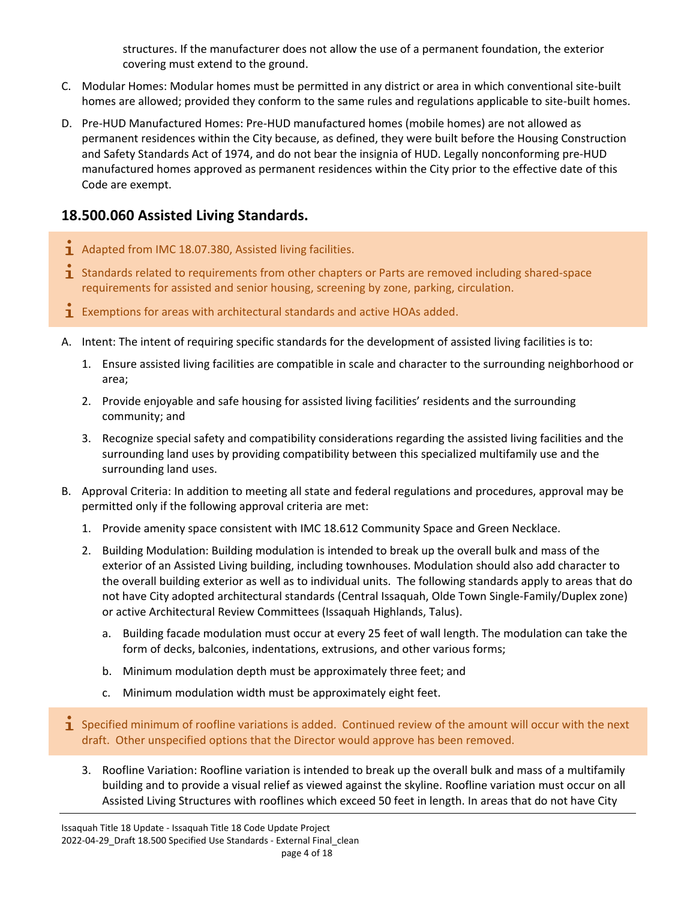structures. If the manufacturer does not allow the use of a permanent foundation, the exterior covering must extend to the ground.

- C. Modular Homes: Modular homes must be permitted in any district or area in which conventional site-built homes are allowed; provided they conform to the same rules and regulations applicable to site-built homes.
- D. Pre-HUD Manufactured Homes: Pre-HUD manufactured homes (mobile homes) are not allowed as permanent residences within the City because, as defined, they were built before the Housing Construction and Safety Standards Act of 1974, and do not bear the insignia of HUD. Legally nonconforming pre-HUD manufactured homes approved as permanent residences within the City prior to the effective date of this Code are exempt.

#### <span id="page-3-0"></span>**18.500.060 Assisted Living Standards.**

- $\mathbf{1}$  Adapted from IMC 18.07.380, Assisted living facilities.
- $\mathbf 1$  Standards related to requirements from other chapters or Parts are removed including shared-space requirements for assisted and senior housing, screening by zone, parking, circulation.
- **1** Exemptions for areas with architectural standards and active HOAs added.
- A. Intent: The intent of requiring specific standards for the development of assisted living facilities is to:
	- 1. Ensure assisted living facilities are compatible in scale and character to the surrounding neighborhood or area;
	- 2. Provide enjoyable and safe housing for assisted living facilities' residents and the surrounding community; and
	- 3. Recognize special safety and compatibility considerations regarding the assisted living facilities and the surrounding land uses by providing compatibility between this specialized multifamily use and the surrounding land uses.
- B. Approval Criteria: In addition to meeting all state and federal regulations and procedures, approval may be permitted only if the following approval criteria are met:
	- 1. Provide amenity space consistent with IMC 18.612 Community Space and Green Necklace.
	- 2. Building Modulation: Building modulation is intended to break up the overall bulk and mass of the exterior of an Assisted Living building, including townhouses. Modulation should also add character to the overall building exterior as well as to individual units. The following standards apply to areas that do not have City adopted architectural standards (Central Issaquah, Olde Town Single-Family/Duplex zone) or active Architectural Review Committees (Issaquah Highlands, Talus).
		- a. Building facade modulation must occur at every 25 feet of wall length. The modulation can take the form of decks, balconies, indentations, extrusions, and other various forms;
		- b. Minimum modulation depth must be approximately three feet; and
		- c. Minimum modulation width must be approximately eight feet.
- $\mathbf i$  Specified minimum of roofline variations is added. Continued review of the amount will occur with the next draft. Other unspecified options that the Director would approve has been removed.
	- 3. Roofline Variation: Roofline variation is intended to break up the overall bulk and mass of a multifamily building and to provide a visual relief as viewed against the skyline. Roofline variation must occur on all Assisted Living Structures with rooflines which exceed 50 feet in length. In areas that do not have City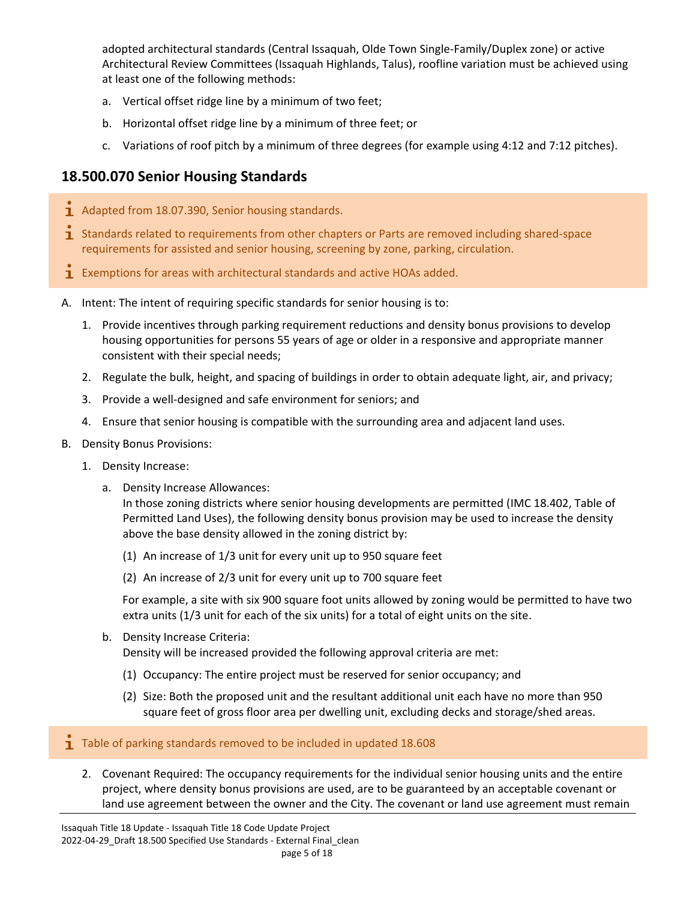adopted architectural standards (Central Issaquah, Olde Town Single-Family/Duplex zone) or active Architectural Review Committees (Issaquah Highlands, Talus), roofline variation must be achieved using at least one of the following methods:

- a. Vertical offset ridge line by a minimum of two feet;
- b. Horizontal offset ridge line by a minimum of three feet; or
- c. Variations of roof pitch by a minimum of three degrees (for example using 4:12 and 7:12 pitches).

#### <span id="page-4-0"></span>**18.500.070 Senior Housing Standards**

- $\mathbf{\dot{1}}$  Adapted from 18.07.390, Senior housing standards.
- 1 Standards related to requirements from other chapters or Parts are removed including shared-space requirements for assisted and senior housing, screening by zone, parking, circulation.
- **1** Exemptions for areas with architectural standards and active HOAs added.
- A. Intent: The intent of requiring specific standards for senior housing is to:
	- 1. Provide incentives through parking requirement reductions and density bonus provisions to develop housing opportunities for persons 55 years of age or older in a responsive and appropriate manner consistent with their special needs;
	- 2. Regulate the bulk, height, and spacing of buildings in order to obtain adequate light, air, and privacy;
	- 3. Provide a well-designed and safe environment for seniors; and
	- 4. Ensure that senior housing is compatible with the surrounding area and adjacent land uses.
- B. Density Bonus Provisions:
	- 1. Density Increase:
		- a. Density Increase Allowances:

In those zoning districts where senior housing developments are permitted (IMC 18.402, Table of Permitted Land Uses), the following density bonus provision may be used to increase the density above the base density allowed in the zoning district by:

- (1) An increase of 1/3 unit for every unit up to 950 square feet
- (2) An increase of 2/3 unit for every unit up to 700 square feet

For example, a site with six 900 square foot units allowed by zoning would be permitted to have two extra units (1/3 unit for each of the six units) for a total of eight units on the site.

b. Density Increase Criteria:

Density will be increased provided the following approval criteria are met:

- (1) Occupancy: The entire project must be reserved for senior occupancy; and
- (2) Size: Both the proposed unit and the resultant additional unit each have no more than 950 square feet of gross floor area per dwelling unit, excluding decks and storage/shed areas.

#### $\mathbf{I}$  Table of parking standards removed to be included in updated 18.608

2. Covenant Required: The occupancy requirements for the individual senior housing units and the entire project, where density bonus provisions are used, are to be guaranteed by an acceptable covenant or land use agreement between the owner and the City. The covenant or land use agreement must remain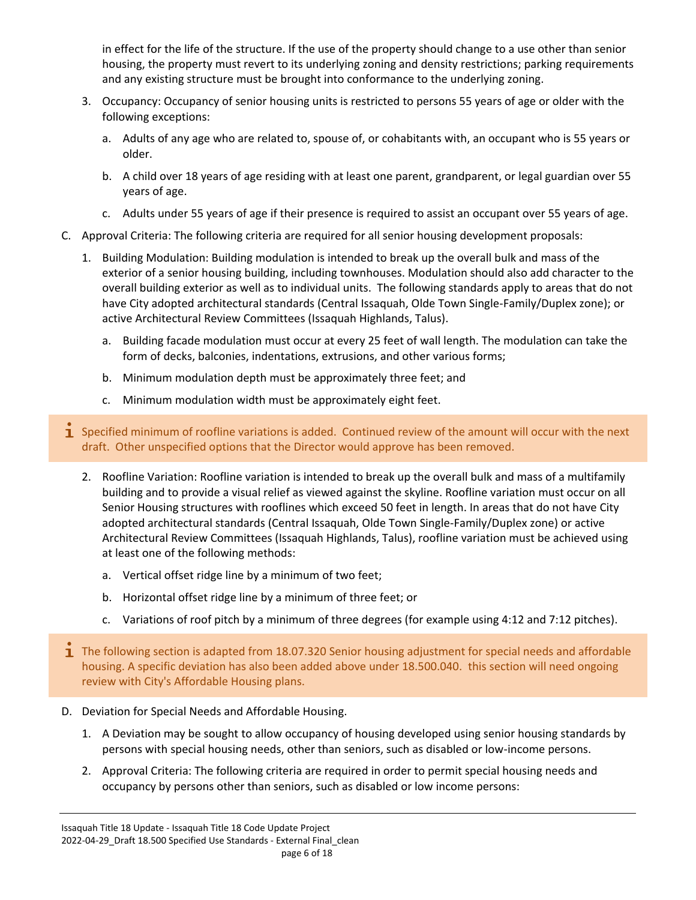in effect for the life of the structure. If the use of the property should change to a use other than senior housing, the property must revert to its underlying zoning and density restrictions; parking requirements and any existing structure must be brought into conformance to the underlying zoning.

- 3. Occupancy: Occupancy of senior housing units is restricted to persons 55 years of age or older with the following exceptions:
	- a. Adults of any age who are related to, spouse of, or cohabitants with, an occupant who is 55 years or older.
	- b. A child over 18 years of age residing with at least one parent, grandparent, or legal guardian over 55 years of age.
	- c. Adults under 55 years of age if their presence is required to assist an occupant over 55 years of age.
- C. Approval Criteria: The following criteria are required for all senior housing development proposals:
	- 1. Building Modulation: Building modulation is intended to break up the overall bulk and mass of the exterior of a senior housing building, including townhouses. Modulation should also add character to the overall building exterior as well as to individual units. The following standards apply to areas that do not have City adopted architectural standards (Central Issaquah, Olde Town Single-Family/Duplex zone); or active Architectural Review Committees (Issaquah Highlands, Talus).
		- a. Building facade modulation must occur at every 25 feet of wall length. The modulation can take the form of decks, balconies, indentations, extrusions, and other various forms;
		- b. Minimum modulation depth must be approximately three feet; and
		- c. Minimum modulation width must be approximately eight feet.
- **I** Specified minimum of roofline variations is added. Continued review of the amount will occur with the next draft. Other unspecified options that the Director would approve has been removed.
	- 2. Roofline Variation: Roofline variation is intended to break up the overall bulk and mass of a multifamily building and to provide a visual relief as viewed against the skyline. Roofline variation must occur on all Senior Housing structures with rooflines which exceed 50 feet in length. In areas that do not have City adopted architectural standards (Central Issaquah, Olde Town Single-Family/Duplex zone) or active Architectural Review Committees (Issaquah Highlands, Talus), roofline variation must be achieved using at least one of the following methods:
		- a. Vertical offset ridge line by a minimum of two feet;
		- b. Horizontal offset ridge line by a minimum of three feet; or
		- c. Variations of roof pitch by a minimum of three degrees (for example using 4:12 and 7:12 pitches).
- $\mathbf 1$  The following section is adapted from 18.07.320 Senior housing adjustment for special needs and affordable housing. A specific deviation has also been added above under 18.500.040. this section will need ongoing review with City's Affordable Housing plans.
- D. Deviation for Special Needs and Affordable Housing.
	- 1. A Deviation may be sought to allow occupancy of housing developed using senior housing standards by persons with special housing needs, other than seniors, such as disabled or low-income persons.
	- 2. Approval Criteria: The following criteria are required in order to permit special housing needs and occupancy by persons other than seniors, such as disabled or low income persons: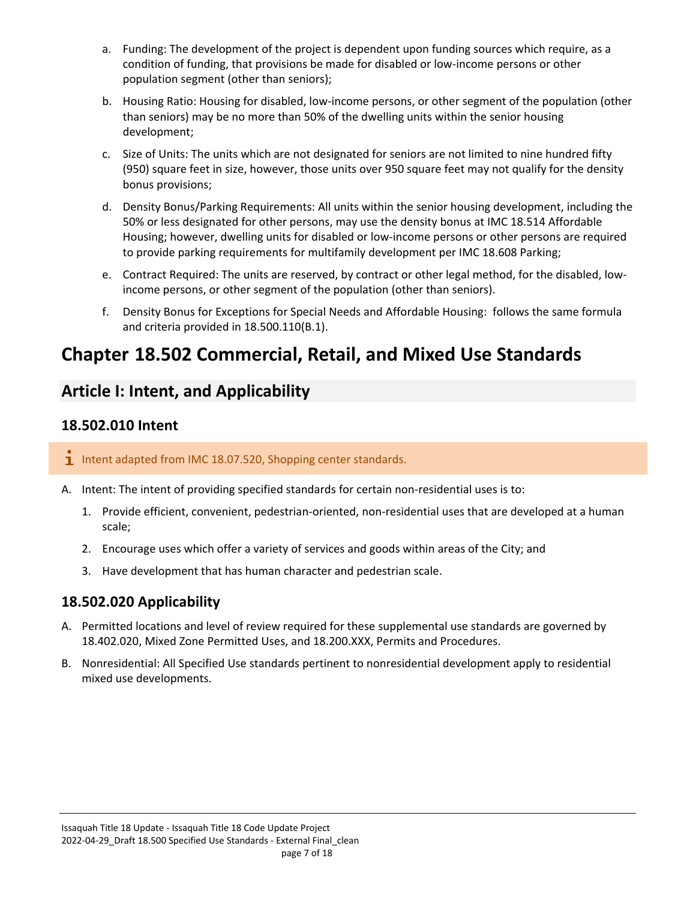- a. Funding: The development of the project is dependent upon funding sources which require, as a condition of funding, that provisions be made for disabled or low-income persons or other population segment (other than seniors);
- b. Housing Ratio: Housing for disabled, low-income persons, or other segment of the population (other than seniors) may be no more than 50% of the dwelling units within the senior housing development;
- c. Size of Units: The units which are not designated for seniors are not limited to nine hundred fifty (950) square feet in size, however, those units over 950 square feet may not qualify for the density bonus provisions;
- d. Density Bonus/Parking Requirements: All units within the senior housing development, including the 50% or less designated for other persons, may use the density bonus at IMC 18.514 Affordable Housing; however, dwelling units for disabled or low-income persons or other persons are required to provide parking requirements for multifamily development per IMC 18.608 Parking;
- e. Contract Required: The units are reserved, by contract or other legal method, for the disabled, lowincome persons, or other segment of the population (other than seniors).
- f. Density Bonus for Exceptions for Special Needs and Affordable Housing: follows the same formula and criteria provided in 18.500.110(B.1).

# <span id="page-6-0"></span>**Chapter 18.502 Commercial, Retail, and Mixed Use Standards**

# <span id="page-6-1"></span>**Article I: Intent, and Applicability**

#### <span id="page-6-2"></span>**18.502.010 Intent**

#### $i$  Intent adapted from IMC 18.07.520, Shopping center standards.

- A. Intent: The intent of providing specified standards for certain non-residential uses is to:
	- 1. Provide efficient, convenient, pedestrian-oriented, non-residential uses that are developed at a human scale;
	- 2. Encourage uses which offer a variety of services and goods within areas of the City; and
	- 3. Have development that has human character and pedestrian scale.

#### <span id="page-6-3"></span>**18.502.020 Applicability**

- A. Permitted locations and level of review required for these supplemental use standards are governed by 18.402.020, Mixed Zone Permitted Uses, and 18.200.XXX, Permits and Procedures.
- B. Nonresidential: All Specified Use standards pertinent to nonresidential development apply to residential mixed use developments.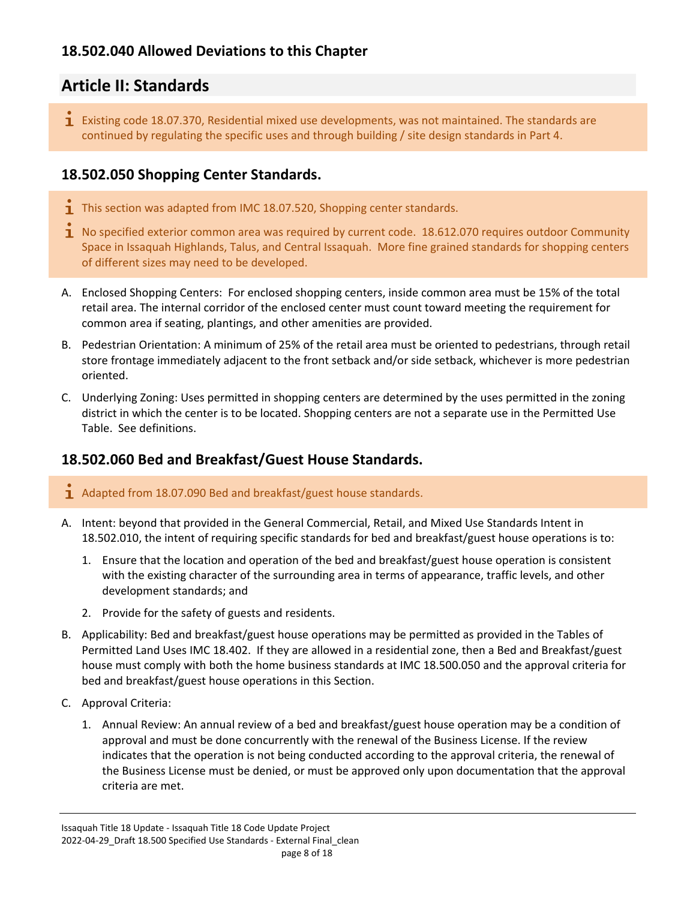#### <span id="page-7-0"></span>**18.502.040 Allowed Deviations to this Chapter**

### <span id="page-7-1"></span>**Article II: Standards**

**I** Existing code 18.07.370, Residential mixed use developments, was not maintained. The standards are continued by regulating the specific uses and through building / site design standards in Part 4.

#### <span id="page-7-2"></span>**18.502.050 Shopping Center Standards.**

- $\mathbf 1$  This section was adapted from IMC 18.07.520, Shopping center standards.
- $\overline{1}$  No specified exterior common area was required by current code. 18.612.070 requires outdoor Community Space in Issaquah Highlands, Talus, and Central Issaquah. More fine grained standards for shopping centers of different sizes may need to be developed.
- A. Enclosed Shopping Centers: For enclosed shopping centers, inside common area must be 15% of the total retail area. The internal corridor of the enclosed center must count toward meeting the requirement for common area if seating, plantings, and other amenities are provided.
- B. Pedestrian Orientation: A minimum of 25% of the retail area must be oriented to pedestrians, through retail store frontage immediately adjacent to the front setback and/or side setback, whichever is more pedestrian oriented.
- C. Underlying Zoning: Uses permitted in shopping centers are determined by the uses permitted in the zoning district in which the center is to be located. Shopping centers are not a separate use in the Permitted Use Table. See definitions.

#### <span id="page-7-3"></span>**18.502.060 Bed and Breakfast/Guest House Standards.**

- $\mathbf{I}$  Adapted from 18.07.090 Bed and breakfast/guest house standards.
- A. Intent: beyond that provided in the General Commercial, Retail, and Mixed Use Standards Intent in 18.502.010, the intent of requiring specific standards for bed and breakfast/guest house operations is to:
	- 1. Ensure that the location and operation of the bed and breakfast/guest house operation is consistent with the existing character of the surrounding area in terms of appearance, traffic levels, and other development standards; and
	- 2. Provide for the safety of guests and residents.
- B. Applicability: Bed and breakfast/guest house operations may be permitted as provided in the Tables of Permitted Land Uses IMC 18.402. If they are allowed in a residential zone, then a Bed and Breakfast/guest house must comply with both the home business standards at IMC 18.500.050 and the approval criteria for bed and breakfast/guest house operations in this Section.
- C. Approval Criteria:
	- 1. Annual Review: An annual review of a bed and breakfast/guest house operation may be a condition of approval and must be done concurrently with the renewal of the Business License. If the review indicates that the operation is not being conducted according to the approval criteria, the renewal of the Business License must be denied, or must be approved only upon documentation that the approval criteria are met.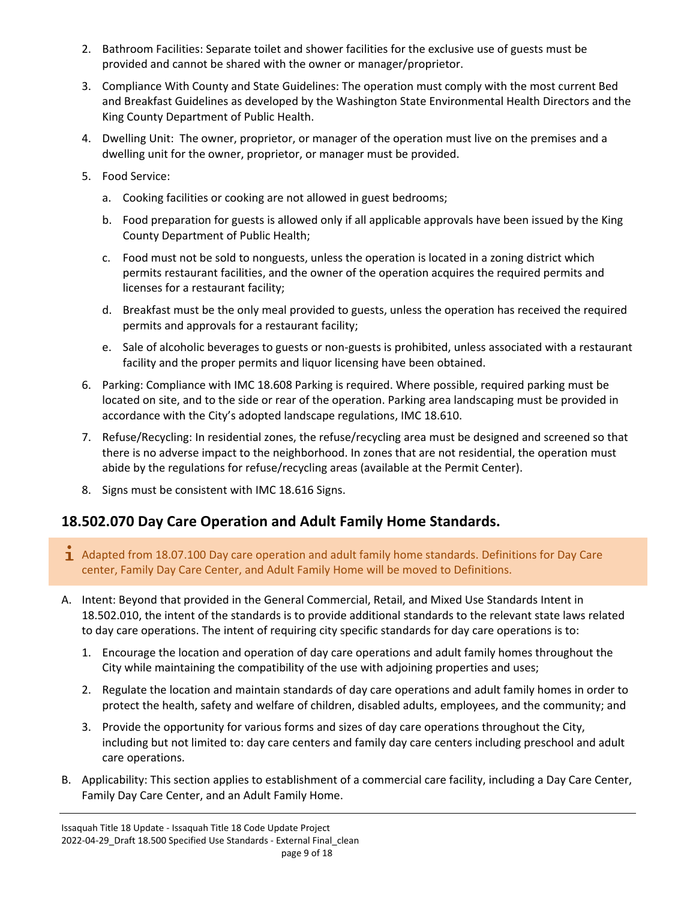- 2. Bathroom Facilities: Separate toilet and shower facilities for the exclusive use of guests must be provided and cannot be shared with the owner or manager/proprietor.
- 3. Compliance With County and State Guidelines: The operation must comply with the most current Bed and Breakfast Guidelines as developed by the Washington State Environmental Health Directors and the King County Department of Public Health.
- 4. Dwelling Unit: The owner, proprietor, or manager of the operation must live on the premises and a dwelling unit for the owner, proprietor, or manager must be provided.
- 5. Food Service:
	- a. Cooking facilities or cooking are not allowed in guest bedrooms;
	- b. Food preparation for guests is allowed only if all applicable approvals have been issued by the King County Department of Public Health;
	- c. Food must not be sold to nonguests, unless the operation is located in a zoning district which permits restaurant facilities, and the owner of the operation acquires the required permits and licenses for a restaurant facility;
	- d. Breakfast must be the only meal provided to guests, unless the operation has received the required permits and approvals for a restaurant facility;
	- e. Sale of alcoholic beverages to guests or non-guests is prohibited, unless associated with a restaurant facility and the proper permits and liquor licensing have been obtained.
- 6. Parking: Compliance with IMC 18.608 Parking is required. Where possible, required parking must be located on site, and to the side or rear of the operation. Parking area landscaping must be provided in accordance with the City's adopted landscape regulations, IMC 18.610.
- 7. Refuse/Recycling: In residential zones, the refuse/recycling area must be designed and screened so that there is no adverse impact to the neighborhood. In zones that are not residential, the operation must abide by the regulations for refuse/recycling areas (available at the Permit Center).
- 8. Signs must be consistent with IMC 18.616 Signs.

#### <span id="page-8-0"></span>**18.502.070 Day Care Operation and Adult Family Home Standards.**

- 1 Adapted from 18.07.100 Day care operation and adult family home standards. Definitions for Day Care center, Family Day Care Center, and Adult Family Home will be moved to Definitions.
- A. Intent: Beyond that provided in the General Commercial, Retail, and Mixed Use Standards Intent in 18.502.010, the intent of the standards is to provide additional standards to the relevant state laws related to day care operations. The intent of requiring city specific standards for day care operations is to:
	- 1. Encourage the location and operation of day care operations and adult family homes throughout the City while maintaining the compatibility of the use with adjoining properties and uses;
	- 2. Regulate the location and maintain standards of day care operations and adult family homes in order to protect the health, safety and welfare of children, disabled adults, employees, and the community; and
	- 3. Provide the opportunity for various forms and sizes of day care operations throughout the City, including but not limited to: day care centers and family day care centers including preschool and adult care operations.
- B. Applicability: This section applies to establishment of a commercial care facility, including a Day Care Center, Family Day Care Center, and an Adult Family Home.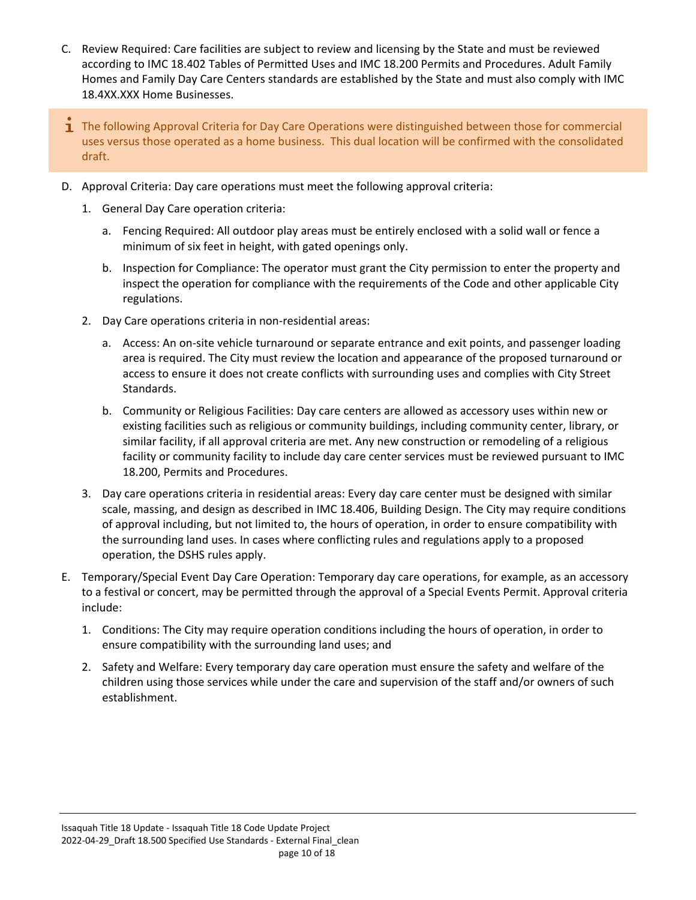- C. Review Required: Care facilities are subject to review and licensing by the State and must be reviewed according to IMC 18.402 Tables of Permitted Uses and IMC 18.200 Permits and Procedures. Adult Family Homes and Family Day Care Centers standards are established by the State and must also comply with IMC 18.4XX.XXX Home Businesses.
- $\mathbf 1$  The following Approval Criteria for Day Care Operations were distinguished between those for commercial uses versus those operated as a home business. This dual location will be confirmed with the consolidated draft.
- D. Approval Criteria: Day care operations must meet the following approval criteria:
	- 1. General Day Care operation criteria:
		- a. Fencing Required: All outdoor play areas must be entirely enclosed with a solid wall or fence a minimum of six feet in height, with gated openings only.
		- b. Inspection for Compliance: The operator must grant the City permission to enter the property and inspect the operation for compliance with the requirements of the Code and other applicable City regulations.
	- 2. Day Care operations criteria in non-residential areas:
		- a. Access: An on-site vehicle turnaround or separate entrance and exit points, and passenger loading area is required. The City must review the location and appearance of the proposed turnaround or access to ensure it does not create conflicts with surrounding uses and complies with City Street Standards.
		- b. Community or Religious Facilities: Day care centers are allowed as accessory uses within new or existing facilities such as religious or community buildings, including community center, library, or similar facility, if all approval criteria are met. Any new construction or remodeling of a religious facility or community facility to include day care center services must be reviewed pursuant to IMC 18.200, Permits and Procedures.
	- 3. Day care operations criteria in residential areas: Every day care center must be designed with similar scale, massing, and design as described in IMC 18.406, Building Design. The City may require conditions of approval including, but not limited to, the hours of operation, in order to ensure compatibility with the surrounding land uses. In cases where conflicting rules and regulations apply to a proposed operation, the DSHS rules apply.
- E. Temporary/Special Event Day Care Operation: Temporary day care operations, for example, as an accessory to a festival or concert, may be permitted through the approval of a Special Events Permit. Approval criteria include:
	- 1. Conditions: The City may require operation conditions including the hours of operation, in order to ensure compatibility with the surrounding land uses; and
	- 2. Safety and Welfare: Every temporary day care operation must ensure the safety and welfare of the children using those services while under the care and supervision of the staff and/or owners of such establishment.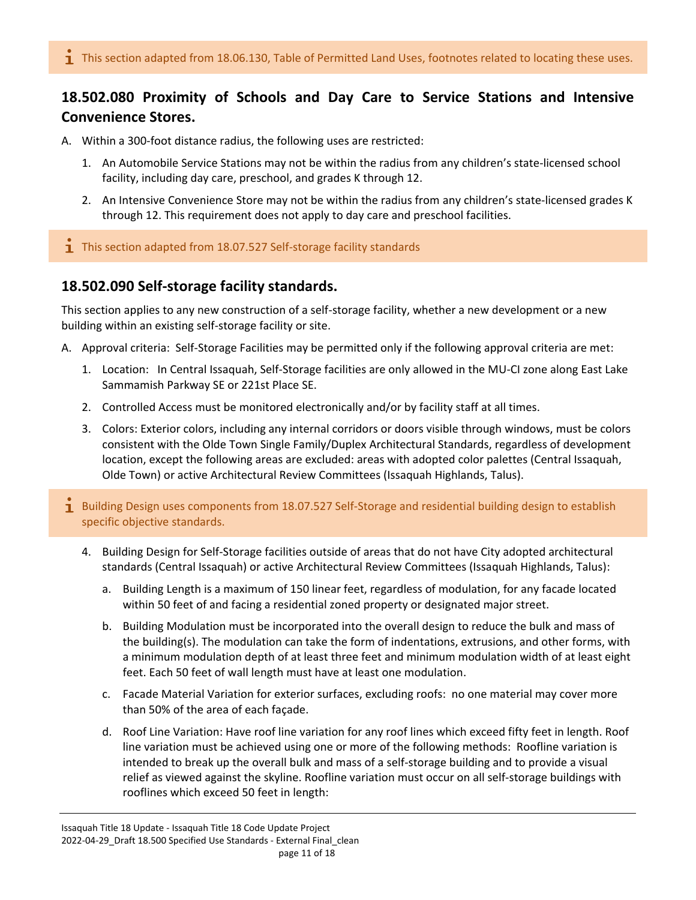#### <span id="page-10-0"></span>**18.502.080 Proximity of Schools and Day Care to Service Stations and Intensive Convenience Stores.**

- A. Within a 300-foot distance radius, the following uses are restricted:
	- 1. An Automobile Service Stations may not be within the radius from any children's state-licensed school facility, including day care, preschool, and grades K through 12.
	- 2. An Intensive Convenience Store may not be within the radius from any children's state-licensed grades K through 12. This requirement does not apply to day care and preschool facilities.
- $\overline{\mathbf{1}}$  This section adapted from 18.07.527 Self-storage facility standards

#### <span id="page-10-1"></span>**18.502.090 Self-storage facility standards.**

This section applies to any new construction of a self-storage facility, whether a new development or a new building within an existing self-storage facility or site.

- A. Approval criteria: Self-Storage Facilities may be permitted only if the following approval criteria are met:
	- 1. Location: In Central Issaquah, Self-Storage facilities are only allowed in the MU-CI zone along East Lake Sammamish Parkway SE or 221st Place SE.
	- 2. Controlled Access must be monitored electronically and/or by facility staff at all times.
	- 3. Colors: Exterior colors, including any internal corridors or doors visible through windows, must be colors consistent with the Olde Town Single Family/Duplex Architectural Standards, regardless of development location, except the following areas are excluded: areas with adopted color palettes (Central Issaquah, Olde Town) or active Architectural Review Committees (Issaquah Highlands, Talus).
- 1 Building Design uses components from 18.07.527 Self-Storage and residential building design to establish specific objective standards.
	- 4. Building Design for Self-Storage facilities outside of areas that do not have City adopted architectural standards (Central Issaquah) or active Architectural Review Committees (Issaquah Highlands, Talus):
		- a. Building Length is a maximum of 150 linear feet, regardless of modulation, for any facade located within 50 feet of and facing a residential zoned property or designated major street.
		- b. Building Modulation must be incorporated into the overall design to reduce the bulk and mass of the building(s). The modulation can take the form of indentations, extrusions, and other forms, with a minimum modulation depth of at least three feet and minimum modulation width of at least eight feet. Each 50 feet of wall length must have at least one modulation.
		- c. Facade Material Variation for exterior surfaces, excluding roofs: no one material may cover more than 50% of the area of each façade.
		- d. Roof Line Variation: Have roof line variation for any roof lines which exceed fifty feet in length. Roof line variation must be achieved using one or more of the following methods: Roofline variation is intended to break up the overall bulk and mass of a self-storage building and to provide a visual relief as viewed against the skyline. Roofline variation must occur on all self-storage buildings with rooflines which exceed 50 feet in length: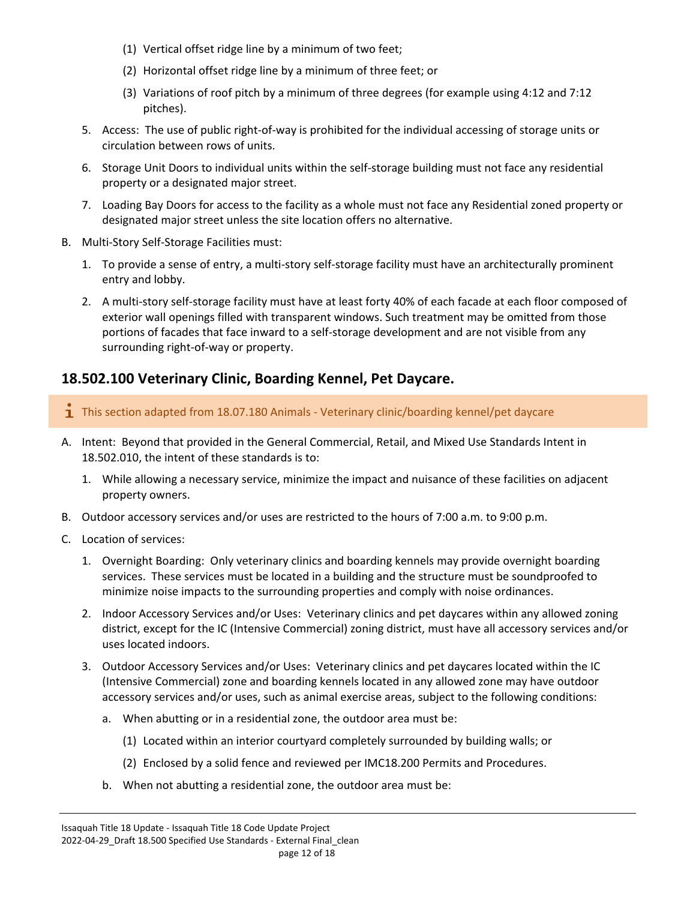- (1) Vertical offset ridge line by a minimum of two feet;
- (2) Horizontal offset ridge line by a minimum of three feet; or
- (3) Variations of roof pitch by a minimum of three degrees (for example using 4:12 and 7:12 pitches).
- 5. Access: The use of public right-of-way is prohibited for the individual accessing of storage units or circulation between rows of units.
- 6. Storage Unit Doors to individual units within the self-storage building must not face any residential property or a designated major street.
- 7. Loading Bay Doors for access to the facility as a whole must not face any Residential zoned property or designated major street unless the site location offers no alternative.
- B. Multi-Story Self-Storage Facilities must:
	- 1. To provide a sense of entry, a multi-story self-storage facility must have an architecturally prominent entry and lobby.
	- 2. A multi-story self-storage facility must have at least forty 40% of each facade at each floor composed of exterior wall openings filled with transparent windows. Such treatment may be omitted from those portions of facades that face inward to a self-storage development and are not visible from any surrounding right-of-way or property.

#### <span id="page-11-0"></span>**18.502.100 Veterinary Clinic, Boarding Kennel, Pet Daycare.**

 $\mathbf{I}$  This section adapted from 18.07.180 Animals - Veterinary clinic/boarding kennel/pet daycare

- A. Intent: Beyond that provided in the General Commercial, Retail, and Mixed Use Standards Intent in 18.502.010, the intent of these standards is to:
	- 1. While allowing a necessary service, minimize the impact and nuisance of these facilities on adjacent property owners.
- B. Outdoor accessory services and/or uses are restricted to the hours of 7:00 a.m. to 9:00 p.m.
- C. Location of services:
	- 1. Overnight Boarding: Only veterinary clinics and boarding kennels may provide overnight boarding services. These services must be located in a building and the structure must be soundproofed to minimize noise impacts to the surrounding properties and comply with noise ordinances.
	- 2. Indoor Accessory Services and/or Uses: Veterinary clinics and pet daycares within any allowed zoning district, except for the IC (Intensive Commercial) zoning district, must have all accessory services and/or uses located indoors.
	- 3. Outdoor Accessory Services and/or Uses: Veterinary clinics and pet daycares located within the IC (Intensive Commercial) zone and boarding kennels located in any allowed zone may have outdoor accessory services and/or uses, such as animal exercise areas, subject to the following conditions:
		- a. When abutting or in a residential zone, the outdoor area must be:
			- (1) Located within an interior courtyard completely surrounded by building walls; or
			- (2) Enclosed by a solid fence and reviewed per IMC18.200 Permits and Procedures.
		- b. When not abutting a residential zone, the outdoor area must be: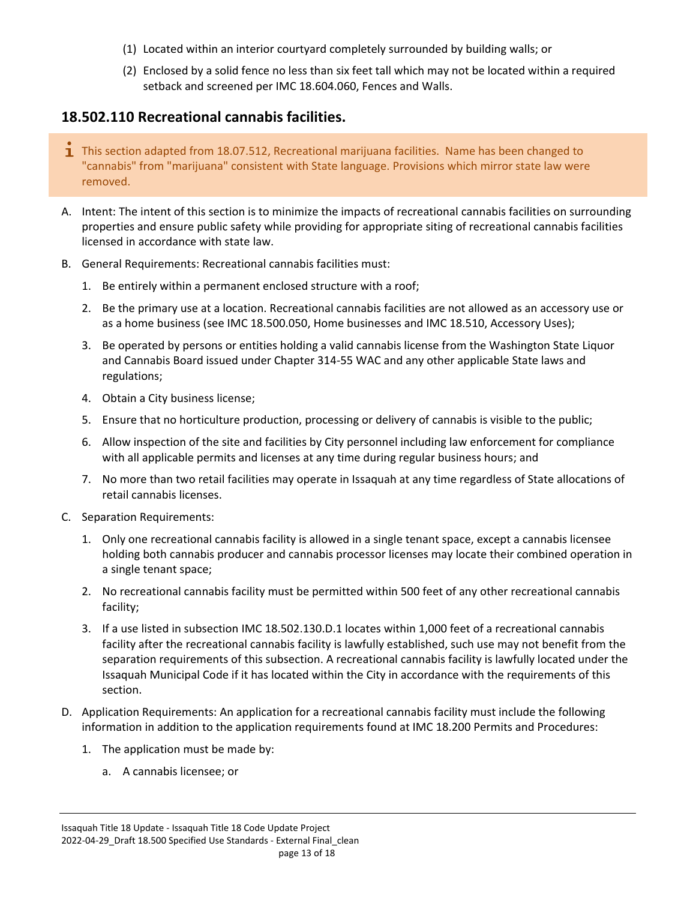- (1) Located within an interior courtyard completely surrounded by building walls; or
- (2) Enclosed by a solid fence no less than six feet tall which may not be located within a required setback and screened per IMC 18.604.060, Fences and Walls.

#### <span id="page-12-0"></span>**18.502.110 Recreational cannabis facilities.**

- **T** This section adapted from 18.07.512, Recreational marijuana facilities. Name has been changed to "cannabis" from "marijuana" consistent with State language. Provisions which mirror state law were removed.
- A. Intent: The intent of this section is to minimize the impacts of recreational cannabis facilities on surrounding properties and ensure public safety while providing for appropriate siting of recreational cannabis facilities licensed in accordance with state law.
- B. General Requirements: Recreational cannabis facilities must:
	- 1. Be entirely within a permanent enclosed structure with a roof;
	- 2. Be the primary use at a location. Recreational cannabis facilities are not allowed as an accessory use or as a home business (see IMC 18.500.050, Home businesses and IMC 18.510, Accessory Uses);
	- 3. Be operated by persons or entities holding a valid cannabis license from the Washington State Liquor and Cannabis Board issued under Chapter 314-55 WAC and any other applicable State laws and regulations;
	- 4. Obtain a City business license;
	- 5. Ensure that no horticulture production, processing or delivery of cannabis is visible to the public;
	- 6. Allow inspection of the site and facilities by City personnel including law enforcement for compliance with all applicable permits and licenses at any time during regular business hours; and
	- 7. No more than two retail facilities may operate in Issaquah at any time regardless of State allocations of retail cannabis licenses.
- C. Separation Requirements:
	- 1. Only one recreational cannabis facility is allowed in a single tenant space, except a cannabis licensee holding both cannabis producer and cannabis processor licenses may locate their combined operation in a single tenant space;
	- 2. No recreational cannabis facility must be permitted within 500 feet of any other recreational cannabis facility;
	- 3. If a use listed in subsection IMC 18.502.130.D.1 locates within 1,000 feet of a recreational cannabis facility after the recreational cannabis facility is lawfully established, such use may not benefit from the separation requirements of this subsection. A recreational cannabis facility is lawfully located under the Issaquah Municipal Code if it has located within the City in accordance with the requirements of this section.
- D. Application Requirements: An application for a recreational cannabis facility must include the following information in addition to the application requirements found at IMC 18.200 Permits and Procedures:
	- 1. The application must be made by:
		- a. A cannabis licensee; or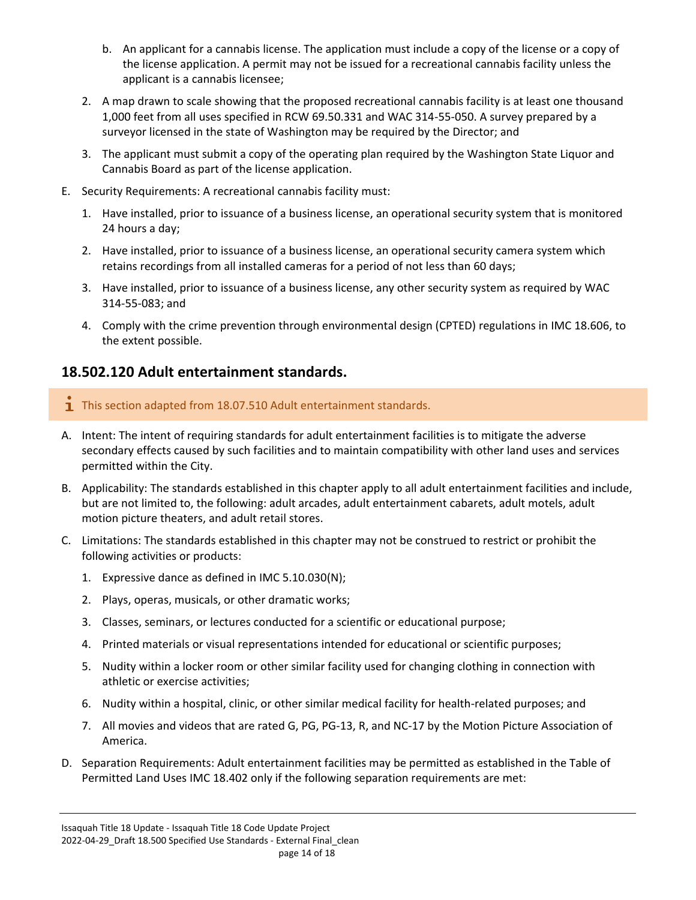- b. An applicant for a cannabis license. The application must include a copy of the license or a copy of the license application. A permit may not be issued for a recreational cannabis facility unless the applicant is a cannabis licensee;
- 2. A map drawn to scale showing that the proposed recreational cannabis facility is at least one thousand 1,000 feet from all uses specified in RCW 69.50.331 and WAC 314-55-050. A survey prepared by a surveyor licensed in the state of Washington may be required by the Director; and
- 3. The applicant must submit a copy of the operating plan required by the Washington State Liquor and Cannabis Board as part of the license application.
- E. Security Requirements: A recreational cannabis facility must:
	- 1. Have installed, prior to issuance of a business license, an operational security system that is monitored 24 hours a day;
	- 2. Have installed, prior to issuance of a business license, an operational security camera system which retains recordings from all installed cameras for a period of not less than 60 days;
	- 3. Have installed, prior to issuance of a business license, any other security system as required by WAC 314-55-083; and
	- 4. Comply with the crime prevention through environmental design (CPTED) regulations in IMC 18.606, to the extent possible.

#### <span id="page-13-0"></span>**18.502.120 Adult entertainment standards.**

- $\mathbf{I}$  This section adapted from 18.07.510 Adult entertainment standards.
- A. Intent: The intent of requiring standards for adult entertainment facilities is to mitigate the adverse secondary effects caused by such facilities and to maintain compatibility with other land uses and services permitted within the City.
- B. Applicability: The standards established in this chapter apply to all adult entertainment facilities and include, but are not limited to, the following: adult arcades, adult entertainment cabarets, adult motels, adult motion picture theaters, and adult retail stores.
- C. Limitations: The standards established in this chapter may not be construed to restrict or prohibit the following activities or products:
	- 1. Expressive dance as defined in IMC 5.10.030(N);
	- 2. Plays, operas, musicals, or other dramatic works;
	- 3. Classes, seminars, or lectures conducted for a scientific or educational purpose;
	- 4. Printed materials or visual representations intended for educational or scientific purposes;
	- 5. Nudity within a locker room or other similar facility used for changing clothing in connection with athletic or exercise activities;
	- 6. Nudity within a hospital, clinic, or other similar medical facility for health-related purposes; and
	- 7. All movies and videos that are rated G, PG, PG-13, R, and NC-17 by the Motion Picture Association of America.
- D. Separation Requirements: Adult entertainment facilities may be permitted as established in the Table of Permitted Land Uses IMC 18.402 only if the following separation requirements are met: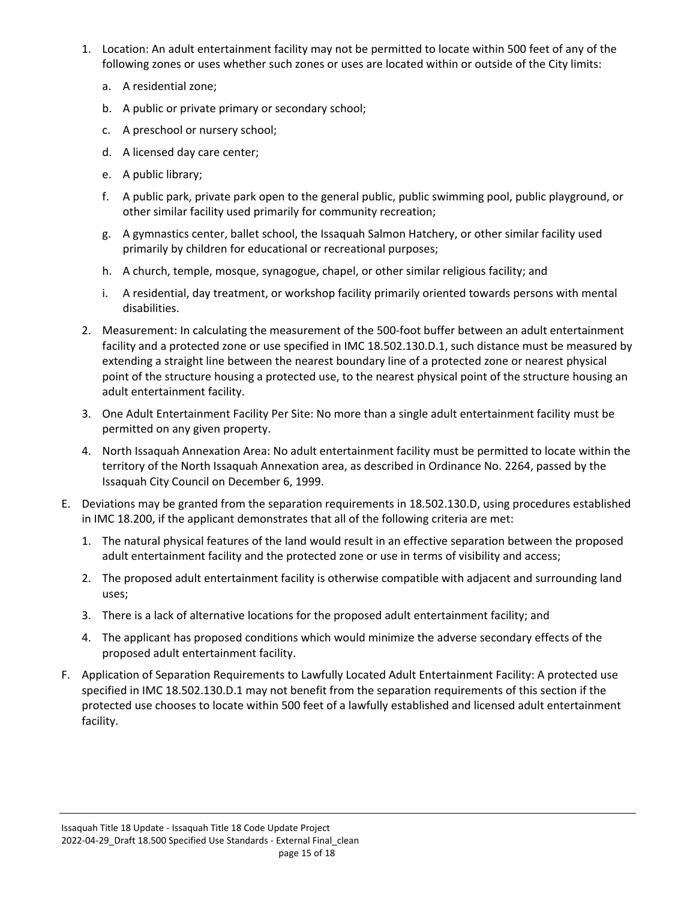- 1. Location: An adult entertainment facility may not be permitted to locate within 500 feet of any of the following zones or uses whether such zones or uses are located within or outside of the City limits:
	- a. A residential zone;
	- b. A public or private primary or secondary school;
	- c. A preschool or nursery school;
	- d. A licensed day care center;
	- e. A public library;
	- f. A public park, private park open to the general public, public swimming pool, public playground, or other similar facility used primarily for community recreation;
	- g. A gymnastics center, ballet school, the Issaquah Salmon Hatchery, or other similar facility used primarily by children for educational or recreational purposes;
	- h. A church, temple, mosque, synagogue, chapel, or other similar religious facility; and
	- i. A residential, day treatment, or workshop facility primarily oriented towards persons with mental disabilities.
- 2. Measurement: In calculating the measurement of the 500-foot buffer between an adult entertainment facility and a protected zone or use specified in IMC 18.502.130.D.1, such distance must be measured by extending a straight line between the nearest boundary line of a protected zone or nearest physical point of the structure housing a protected use, to the nearest physical point of the structure housing an adult entertainment facility.
- 3. One Adult Entertainment Facility Per Site: No more than a single adult entertainment facility must be permitted on any given property.
- 4. North Issaquah Annexation Area: No adult entertainment facility must be permitted to locate within the territory of the North Issaquah Annexation area, as described in Ordinance No. 2264, passed by the Issaquah City Council on December 6, 1999.
- E. Deviations may be granted from the separation requirements in 18.502.130.D, using procedures established in IMC 18.200, if the applicant demonstrates that all of the following criteria are met:
	- 1. The natural physical features of the land would result in an effective separation between the proposed adult entertainment facility and the protected zone or use in terms of visibility and access;
	- 2. The proposed adult entertainment facility is otherwise compatible with adjacent and surrounding land uses;
	- 3. There is a lack of alternative locations for the proposed adult entertainment facility; and
	- 4. The applicant has proposed conditions which would minimize the adverse secondary effects of the proposed adult entertainment facility.
- F. Application of Separation Requirements to Lawfully Located Adult Entertainment Facility: A protected use specified in IMC 18.502.130.D.1 may not benefit from the separation requirements of this section if the protected use chooses to locate within 500 feet of a lawfully established and licensed adult entertainment facility.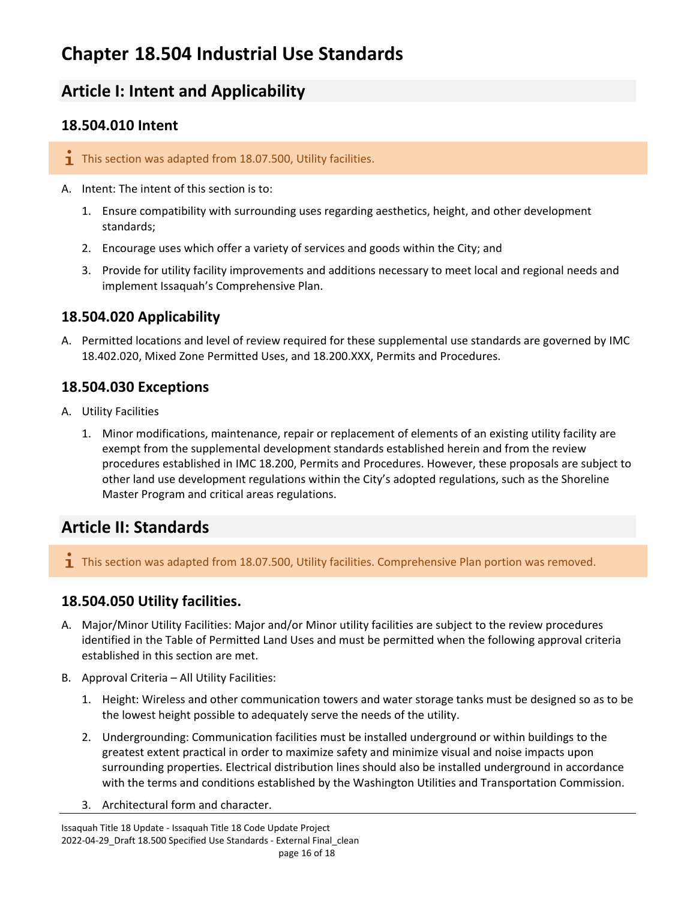# <span id="page-15-0"></span>**Chapter 18.504 Industrial Use Standards**

# <span id="page-15-1"></span>**Article I: Intent and Applicability**

#### <span id="page-15-2"></span>**18.504.010 Intent**

- $\overline{1}$  This section was adapted from 18.07.500, Utility facilities.
- A. Intent: The intent of this section is to:
	- 1. Ensure compatibility with surrounding uses regarding aesthetics, height, and other development standards;
	- 2. Encourage uses which offer a variety of services and goods within the City; and
	- 3. Provide for utility facility improvements and additions necessary to meet local and regional needs and implement Issaquah's Comprehensive Plan.

#### <span id="page-15-3"></span>**18.504.020 Applicability**

A. Permitted locations and level of review required for these supplemental use standards are governed by IMC 18.402.020, Mixed Zone Permitted Uses, and 18.200.XXX, Permits and Procedures.

#### <span id="page-15-4"></span>**18.504.030 Exceptions**

- A. Utility Facilities
	- 1. Minor modifications, maintenance, repair or replacement of elements of an existing utility facility are exempt from the supplemental development standards established herein and from the review procedures established in IMC 18.200, Permits and Procedures. However, these proposals are subject to other land use development regulations within the City's adopted regulations, such as the Shoreline Master Program and critical areas regulations.

# <span id="page-15-5"></span>**Article II: Standards**

**T** This section was adapted from 18.07.500, Utility facilities. Comprehensive Plan portion was removed.

#### <span id="page-15-6"></span>**18.504.050 Utility facilities.**

- A. Major/Minor Utility Facilities: Major and/or Minor utility facilities are subject to the review procedures identified in the Table of Permitted Land Uses and must be permitted when the following approval criteria established in this section are met.
- B. Approval Criteria All Utility Facilities:
	- 1. Height: Wireless and other communication towers and water storage tanks must be designed so as to be the lowest height possible to adequately serve the needs of the utility.
	- 2. Undergrounding: Communication facilities must be installed underground or within buildings to the greatest extent practical in order to maximize safety and minimize visual and noise impacts upon surrounding properties. Electrical distribution lines should also be installed underground in accordance with the terms and conditions established by the Washington Utilities and Transportation Commission.
	- 3. Architectural form and character.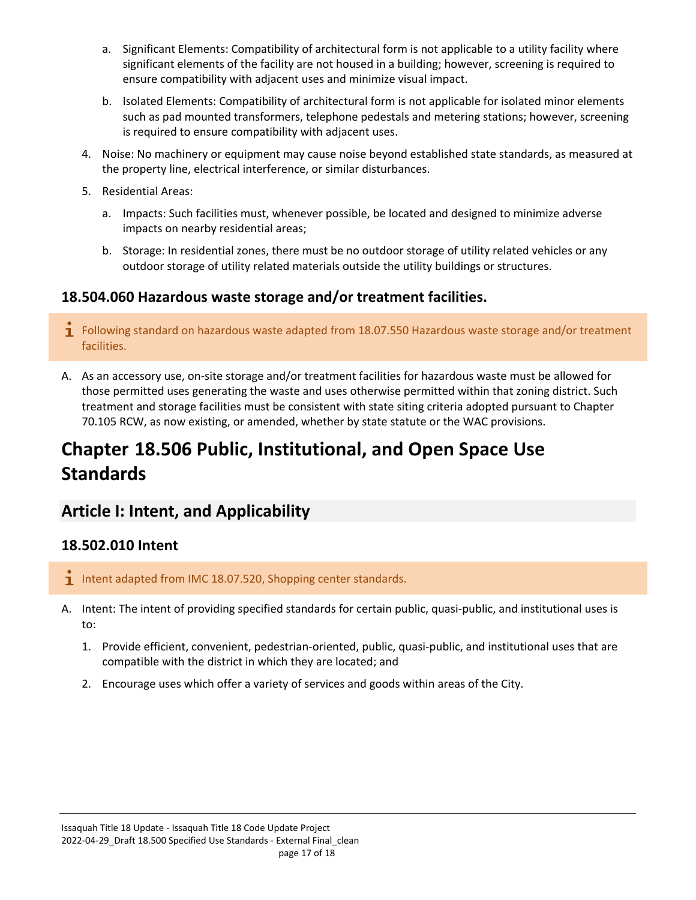- a. Significant Elements: Compatibility of architectural form is not applicable to a utility facility where significant elements of the facility are not housed in a building; however, screening is required to ensure compatibility with adjacent uses and minimize visual impact.
- b. Isolated Elements: Compatibility of architectural form is not applicable for isolated minor elements such as pad mounted transformers, telephone pedestals and metering stations; however, screening is required to ensure compatibility with adjacent uses.
- 4. Noise: No machinery or equipment may cause noise beyond established state standards, as measured at the property line, electrical interference, or similar disturbances.
- 5. Residential Areas:
	- a. Impacts: Such facilities must, whenever possible, be located and designed to minimize adverse impacts on nearby residential areas;
	- b. Storage: In residential zones, there must be no outdoor storage of utility related vehicles or any outdoor storage of utility related materials outside the utility buildings or structures.

#### <span id="page-16-0"></span>**18.504.060 Hazardous waste storage and/or treatment facilities.**

- $\mathbf{\dot{1}}$  Following standard on hazardous waste adapted from 18.07.550 Hazardous waste storage and/or treatment facilities.
- A. As an accessory use, on-site storage and/or treatment facilities for hazardous waste must be allowed for those permitted uses generating the waste and uses otherwise permitted within that zoning district. Such treatment and storage facilities must be consistent with state siting criteria adopted pursuant to Chapter 70.105 RCW, as now existing, or amended, whether by state statute or the WAC provisions.

# <span id="page-16-1"></span>**Chapter 18.506 Public, Institutional, and Open Space Use Standards**

# <span id="page-16-2"></span>**Article I: Intent, and Applicability**

#### <span id="page-16-3"></span>**18.502.010 Intent**

- Intent adapted from IMC 18.07.520, Shopping center standards.
- A. Intent: The intent of providing specified standards for certain public, quasi-public, and institutional uses is to:
	- 1. Provide efficient, convenient, pedestrian-oriented, public, quasi-public, and institutional uses that are compatible with the district in which they are located; and
	- 2. Encourage uses which offer a variety of services and goods within areas of the City.